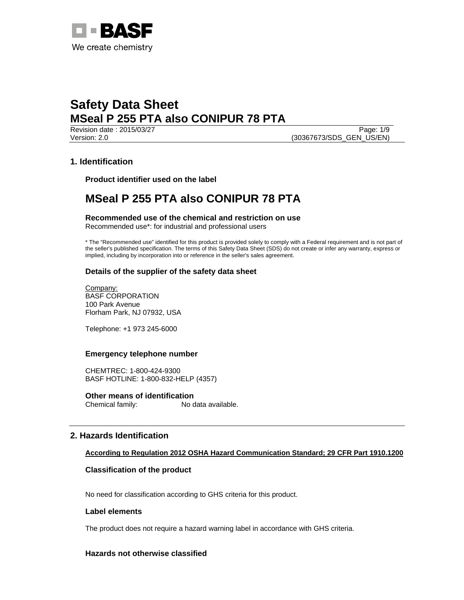

**Revision date : 2015/03/27** Page: 1/9 Version: 2.0 (30367673/SDS\_GEN\_US/EN)

# **1. Identification**

**Product identifier used on the label** 

# **MSeal P 255 PTA also CONIPUR 78 PTA**

**Recommended use of the chemical and restriction on use**  Recommended use\*: for industrial and professional users

\* The "Recommended use" identified for this product is provided solely to comply with a Federal requirement and is not part of the seller's published specification. The terms of this Safety Data Sheet (SDS) do not create or infer any warranty, express or implied, including by incorporation into or reference in the seller's sales agreement.

## **Details of the supplier of the safety data sheet**

Company: BASF CORPORATION 100 Park Avenue Florham Park, NJ 07932, USA

Telephone: +1 973 245-6000

## **Emergency telephone number**

CHEMTREC: 1-800-424-9300 BASF HOTLINE: 1-800-832-HELP (4357)

**Other means of identification**  Chemical family: No data available.

# **2. Hazards Identification**

# **According to Regulation 2012 OSHA Hazard Communication Standard; 29 CFR Part 1910.1200**

## **Classification of the product**

No need for classification according to GHS criteria for this product.

## **Label elements**

The product does not require a hazard warning label in accordance with GHS criteria.

## **Hazards not otherwise classified**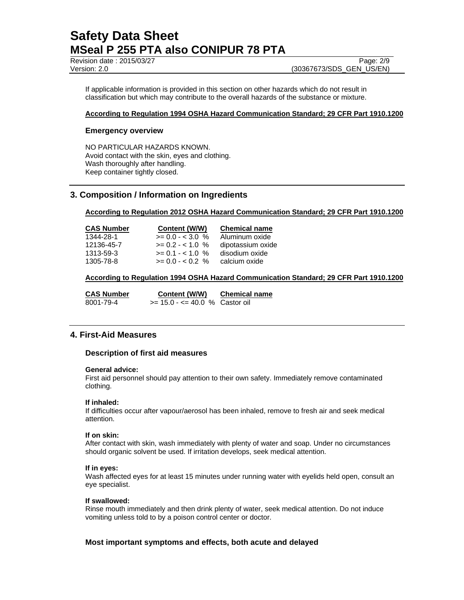Revision date : 2015/03/27 Page: 2/9

If applicable information is provided in this section on other hazards which do not result in classification but which may contribute to the overall hazards of the substance or mixture.

## **According to Regulation 1994 OSHA Hazard Communication Standard; 29 CFR Part 1910.1200**

## **Emergency overview**

NO PARTICULAR HAZARDS KNOWN. Avoid contact with the skin, eyes and clothing. Wash thoroughly after handling. Keep container tightly closed.

# **3. Composition / Information on Ingredients**

**According to Regulation 2012 OSHA Hazard Communication Standard; 29 CFR Part 1910.1200** 

| <b>CAS Number</b> | Content (W/W)      | <b>Chemical name</b> |
|-------------------|--------------------|----------------------|
| 1344-28-1         | $>= 0.0 - 3.0 %$   | Aluminum oxide       |
| 12136-45-7        | $>= 0.2 - < 1.0$ % | dipotassium oxide    |
| 1313-59-3         | $>= 0.1 - 1.0 %$   | disodium oxide       |
| 1305-78-8         | $>= 0.0 - 0.2$ %   | calcium oxide        |

**According to Regulation 1994 OSHA Hazard Communication Standard; 29 CFR Part 1910.1200** 

| <b>CAS Number</b> | Content (W/W)                     | <b>Chemical name</b> |
|-------------------|-----------------------------------|----------------------|
| 8001-79-4         | $>= 15.0 - \le 40.0$ % Castor oil |                      |

## **4. First-Aid Measures**

## **Description of first aid measures**

## **General advice:**

First aid personnel should pay attention to their own safety. Immediately remove contaminated clothing.

## **If inhaled:**

If difficulties occur after vapour/aerosol has been inhaled, remove to fresh air and seek medical attention.

## **If on skin:**

After contact with skin, wash immediately with plenty of water and soap. Under no circumstances should organic solvent be used. If irritation develops, seek medical attention.

## **If in eyes:**

Wash affected eyes for at least 15 minutes under running water with eyelids held open, consult an eye specialist.

## **If swallowed:**

Rinse mouth immediately and then drink plenty of water, seek medical attention. Do not induce vomiting unless told to by a poison control center or doctor.

## **Most important symptoms and effects, both acute and delayed**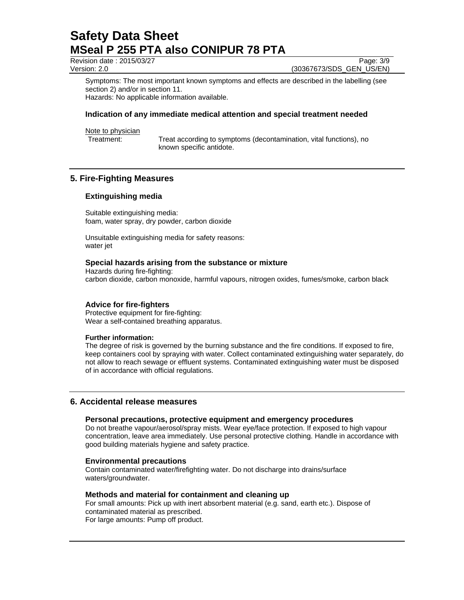Revision date : 2015/03/27 Page: 3/9

Version: 2.0 (30367673/SDS\_GEN\_US/EN)

Symptoms: The most important known symptoms and effects are described in the labelling (see section 2) and/or in section 11.

Hazards: No applicable information available.

## **Indication of any immediate medical attention and special treatment needed**

Note to physician

Treatment: Treat according to symptoms (decontamination, vital functions), no known specific antidote.

# **5. Fire-Fighting Measures**

## **Extinguishing media**

Suitable extinguishing media: foam, water spray, dry powder, carbon dioxide

Unsuitable extinguishing media for safety reasons: water jet

## **Special hazards arising from the substance or mixture**

Hazards during fire-fighting: carbon dioxide, carbon monoxide, harmful vapours, nitrogen oxides, fumes/smoke, carbon black

## **Advice for fire-fighters**

Protective equipment for fire-fighting: Wear a self-contained breathing apparatus.

## **Further information:**

The degree of risk is governed by the burning substance and the fire conditions. If exposed to fire, keep containers cool by spraying with water. Collect contaminated extinguishing water separately, do not allow to reach sewage or effluent systems. Contaminated extinguishing water must be disposed of in accordance with official regulations.

## **6. Accidental release measures**

## **Personal precautions, protective equipment and emergency procedures**

Do not breathe vapour/aerosol/spray mists. Wear eye/face protection. If exposed to high vapour concentration, leave area immediately. Use personal protective clothing. Handle in accordance with good building materials hygiene and safety practice.

## **Environmental precautions**

Contain contaminated water/firefighting water. Do not discharge into drains/surface waters/groundwater.

### **Methods and material for containment and cleaning up**

For small amounts: Pick up with inert absorbent material (e.g. sand, earth etc.). Dispose of contaminated material as prescribed. For large amounts: Pump off product.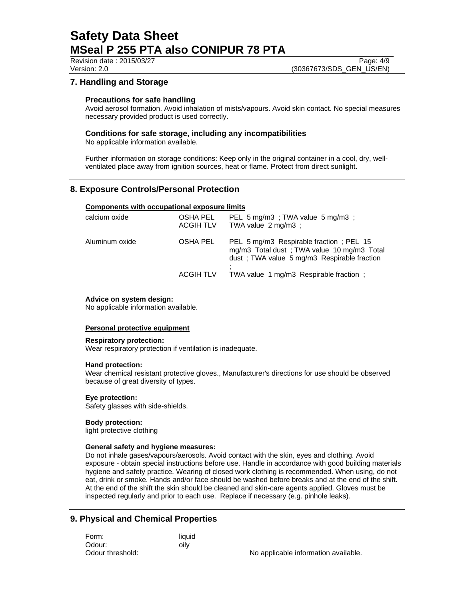## Revision date : 2015/03/27 Page: 4/9

# Version: 2.0 (30367673/SDS\_GEN\_US/EN)

# **7. Handling and Storage**

## **Precautions for safe handling**

Avoid aerosol formation. Avoid inhalation of mists/vapours. Avoid skin contact. No special measures necessary provided product is used correctly.

## **Conditions for safe storage, including any incompatibilities**

No applicable information available.

Further information on storage conditions: Keep only in the original container in a cool, dry, wellventilated place away from ignition sources, heat or flame. Protect from direct sunlight.

# **8. Exposure Controls/Personal Protection**

## **Components with occupational exposure limits**

| <b>OSHA PEL</b><br><b>ACGIH TLV</b> | PEL 5 mg/m3; TWA value 5 mg/m3;<br>TWA value $2 \text{ ma/m3}$ :                                                                      |
|-------------------------------------|---------------------------------------------------------------------------------------------------------------------------------------|
| OSHA PEL                            | PEL 5 mg/m3 Respirable fraction; PEL 15<br>mg/m3 Total dust; TWA value 10 mg/m3 Total<br>dust : TWA value 5 mg/m3 Respirable fraction |
| <b>ACGIH TLV</b>                    | TWA value 1 mg/m3 Respirable fraction;                                                                                                |
|                                     |                                                                                                                                       |

### **Advice on system design:**

No applicable information available.

## **Personal protective equipment**

#### **Respiratory protection:**

Wear respiratory protection if ventilation is inadequate.

## **Hand protection:**

Wear chemical resistant protective gloves., Manufacturer's directions for use should be observed because of great diversity of types.

## **Eye protection:**

Safety glasses with side-shields.

## **Body protection:**

light protective clothing

### **General safety and hygiene measures:**

Do not inhale gases/vapours/aerosols. Avoid contact with the skin, eyes and clothing. Avoid exposure - obtain special instructions before use. Handle in accordance with good building materials hygiene and safety practice. Wearing of closed work clothing is recommended. When using, do not eat, drink or smoke. Hands and/or face should be washed before breaks and at the end of the shift. At the end of the shift the skin should be cleaned and skin-care agents applied. Gloves must be inspected regularly and prior to each use. Replace if necessary (e.g. pinhole leaks).

# **9. Physical and Chemical Properties**

| Form:            | liquid |
|------------------|--------|
| Odour:           | oilv   |
| Odour threshold: |        |

No applicable information available.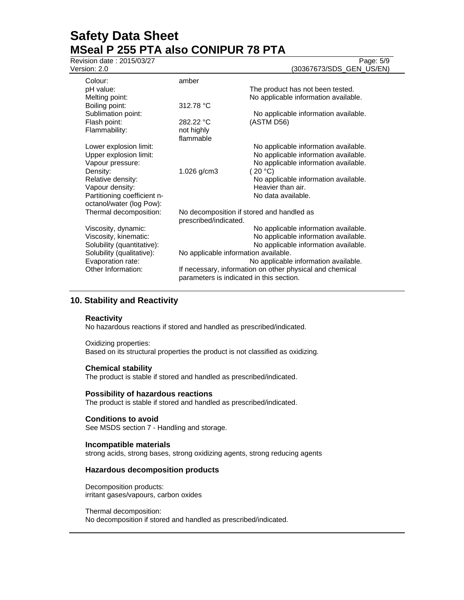Revision date : 2015/03/27 Page: 5/9

Version: 2.0 (30367673/SDS\_GEN\_US/EN)

| Colour:                     | amber                                                                                                |                                      |
|-----------------------------|------------------------------------------------------------------------------------------------------|--------------------------------------|
| pH value:                   |                                                                                                      | The product has not been tested.     |
| Melting point:              |                                                                                                      | No applicable information available. |
| Boiling point:              | 312.78 °C                                                                                            |                                      |
| Sublimation point:          |                                                                                                      | No applicable information available. |
| Flash point:                | 282.22 °C                                                                                            | (ASTM D56)                           |
| Flammability:               | not highly                                                                                           |                                      |
|                             | flammable                                                                                            |                                      |
| Lower explosion limit:      |                                                                                                      | No applicable information available. |
| Upper explosion limit:      |                                                                                                      | No applicable information available. |
| Vapour pressure:            |                                                                                                      | No applicable information available. |
| Density:                    | 1.026 g/cm3                                                                                          | (20 °C)                              |
| Relative density:           |                                                                                                      | No applicable information available. |
| Vapour density:             |                                                                                                      | Heavier than air.                    |
| Partitioning coefficient n- |                                                                                                      | No data available.                   |
| octanol/water (log Pow):    |                                                                                                      |                                      |
| Thermal decomposition:      | No decomposition if stored and handled as                                                            |                                      |
|                             | prescribed/indicated.                                                                                |                                      |
| Viscosity, dynamic:         |                                                                                                      | No applicable information available. |
| Viscosity, kinematic:       |                                                                                                      | No applicable information available. |
| Solubility (quantitative):  |                                                                                                      | No applicable information available. |
| Solubility (qualitative):   | No applicable information available.                                                                 |                                      |
| Evaporation rate:           | No applicable information available.                                                                 |                                      |
| Other Information:          | If necessary, information on other physical and chemical<br>parameters is indicated in this section. |                                      |
|                             |                                                                                                      |                                      |
|                             |                                                                                                      |                                      |

# **10. Stability and Reactivity**

## **Reactivity**

No hazardous reactions if stored and handled as prescribed/indicated.

#### Oxidizing properties:

Based on its structural properties the product is not classified as oxidizing.

#### **Chemical stability**

The product is stable if stored and handled as prescribed/indicated.

#### **Possibility of hazardous reactions**

The product is stable if stored and handled as prescribed/indicated.

#### **Conditions to avoid**

See MSDS section 7 - Handling and storage.

### **Incompatible materials**

strong acids, strong bases, strong oxidizing agents, strong reducing agents

### **Hazardous decomposition products**

Decomposition products: irritant gases/vapours, carbon oxides

#### Thermal decomposition:

No decomposition if stored and handled as prescribed/indicated.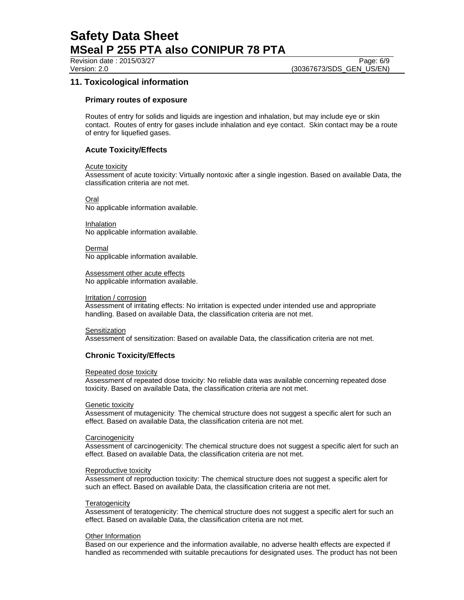Revision date : 2015/03/27 Page: 6/9

# **11. Toxicological information**

## **Primary routes of exposure**

Routes of entry for solids and liquids are ingestion and inhalation, but may include eye or skin contact. Routes of entry for gases include inhalation and eye contact. Skin contact may be a route of entry for liquefied gases.

## **Acute Toxicity/Effects**

## Acute toxicity

Assessment of acute toxicity: Virtually nontoxic after a single ingestion. Based on available Data, the classification criteria are not met.

Oral No applicable information available.

Inhalation No applicable information available.

Dermal No applicable information available.

Assessment other acute effects No applicable information available.

### Irritation / corrosion

Assessment of irritating effects: No irritation is expected under intended use and appropriate handling. Based on available Data, the classification criteria are not met.

## **Sensitization**

Assessment of sensitization: Based on available Data, the classification criteria are not met.

## **Chronic Toxicity/Effects**

#### Repeated dose toxicity

Assessment of repeated dose toxicity: No reliable data was available concerning repeated dose toxicity. Based on available Data, the classification criteria are not met.

## Genetic toxicity

Assessment of mutagenicity: The chemical structure does not suggest a specific alert for such an effect. Based on available Data, the classification criteria are not met.

## **Carcinogenicity**

Assessment of carcinogenicity: The chemical structure does not suggest a specific alert for such an effect. Based on available Data, the classification criteria are not met.

#### Reproductive toxicity

Assessment of reproduction toxicity: The chemical structure does not suggest a specific alert for such an effect. Based on available Data, the classification criteria are not met.

#### **Teratogenicity**

Assessment of teratogenicity: The chemical structure does not suggest a specific alert for such an effect. Based on available Data, the classification criteria are not met.

#### Other Information

Based on our experience and the information available, no adverse health effects are expected if handled as recommended with suitable precautions for designated uses. The product has not been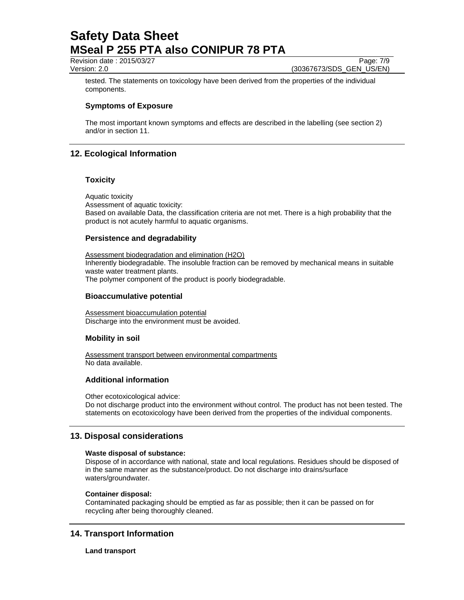Revision date : 2015/03/27 Page: 7/9

Version: 2.0 **(30367673/SDS\_GEN\_US/EN)** 

tested. The statements on toxicology have been derived from the properties of the individual components.

# **Symptoms of Exposure**

The most important known symptoms and effects are described in the labelling (see section 2) and/or in section 11.

# **12. Ecological Information**

## **Toxicity**

Aquatic toxicity Assessment of aquatic toxicity: Based on available Data, the classification criteria are not met. There is a high probability that the product is not acutely harmful to aquatic organisms.

## **Persistence and degradability**

Assessment biodegradation and elimination (H2O) Inherently biodegradable. The insoluble fraction can be removed by mechanical means in suitable waste water treatment plants. The polymer component of the product is poorly biodegradable.

## **Bioaccumulative potential**

Assessment bioaccumulation potential Discharge into the environment must be avoided.

## **Mobility in soil**

Assessment transport between environmental compartments No data available.

# **Additional information**

Other ecotoxicological advice:

Do not discharge product into the environment without control. The product has not been tested. The statements on ecotoxicology have been derived from the properties of the individual components.

# **13. Disposal considerations**

## **Waste disposal of substance:**

Dispose of in accordance with national, state and local regulations. Residues should be disposed of in the same manner as the substance/product. Do not discharge into drains/surface waters/groundwater.

## **Container disposal:**

Contaminated packaging should be emptied as far as possible; then it can be passed on for recycling after being thoroughly cleaned.

# **14. Transport Information**

**Land transport**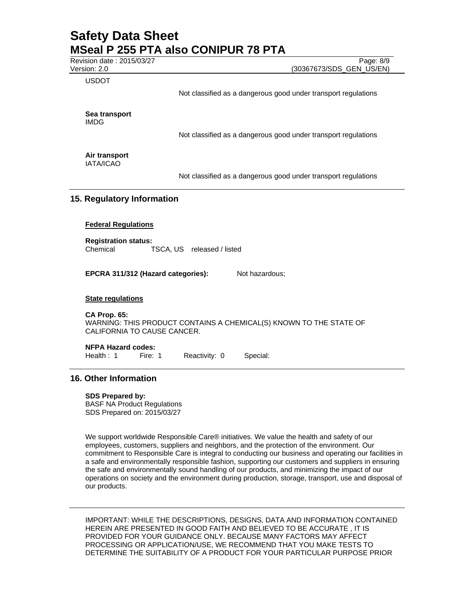Revision date : 2015/03/27 Page: 8/9

Version: 2.0 (30367673/SDS\_GEN\_US/EN)

USDOT

Not classified as a dangerous good under transport regulations

**Sea transport**  IMDG

Not classified as a dangerous good under transport regulations

**Air transport**  IATA/ICAO

Not classified as a dangerous good under transport regulations

## **15. Regulatory Information**

### **Federal Regulations**

**Registration status:**  Chemical TSCA, US released / listed

**EPCRA 311/312 (Hazard categories):** Not hazardous;

### **State regulations**

**CA Prop. 65:** 

WARNING: THIS PRODUCT CONTAINS A CHEMICAL(S) KNOWN TO THE STATE OF CALIFORNIA TO CAUSE CANCER.

## **NFPA Hazard codes:**

Health : 1 Fire: 1 Reactivity: 0 Special:

## **16. Other Information**

#### **SDS Prepared by:**

BASF NA Product Regulations SDS Prepared on: 2015/03/27

We support worldwide Responsible Care® initiatives. We value the health and safety of our employees, customers, suppliers and neighbors, and the protection of the environment. Our commitment to Responsible Care is integral to conducting our business and operating our facilities in a safe and environmentally responsible fashion, supporting our customers and suppliers in ensuring the safe and environmentally sound handling of our products, and minimizing the impact of our operations on society and the environment during production, storage, transport, use and disposal of our products.

IMPORTANT: WHILE THE DESCRIPTIONS, DESIGNS, DATA AND INFORMATION CONTAINED HEREIN ARE PRESENTED IN GOOD FAITH AND BELIEVED TO BE ACCURATE , IT IS PROVIDED FOR YOUR GUIDANCE ONLY. BECAUSE MANY FACTORS MAY AFFECT PROCESSING OR APPLICATION/USE, WE RECOMMEND THAT YOU MAKE TESTS TO DETERMINE THE SUITABILITY OF A PRODUCT FOR YOUR PARTICULAR PURPOSE PRIOR